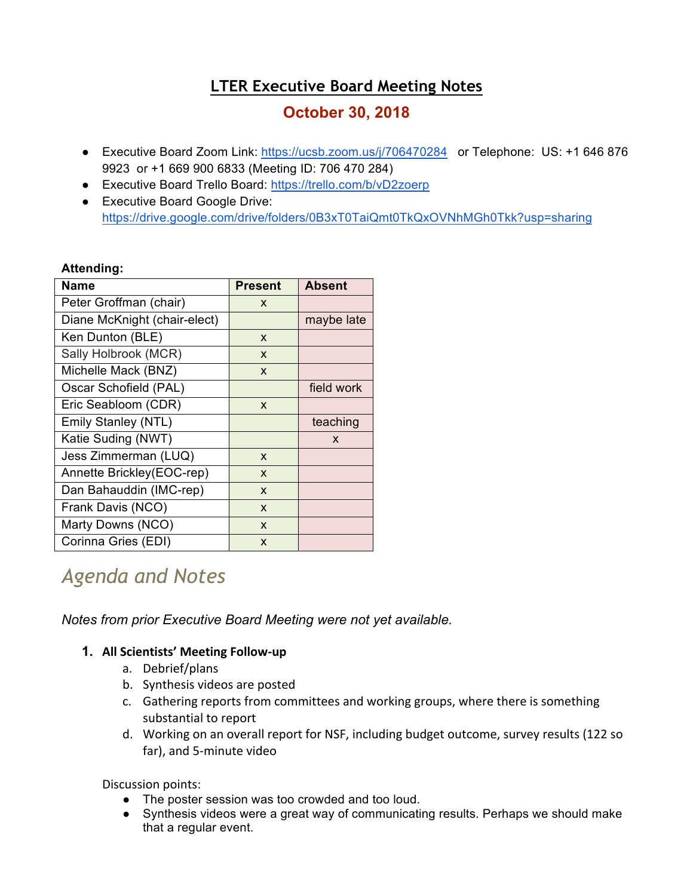# **LTER Executive Board Meeting Notes**

# **October 30, 2018**

- Executive Board Zoom Link: https://ucsb.zoom.us/j/706470284 or Telephone: US: +1 646 876 9923 or +1 669 900 6833 (Meeting ID: 706 470 284)
- Executive Board Trello Board: https://trello.com/b/vD2zoerp
- Executive Board Google Drive: https://drive.google.com/drive/folders/0B3xT0TaiQmt0TkQxOVNhMGh0Tkk?usp=sharing

## **Attending:**

| <b>Name</b>                  | <b>Present</b> | <b>Absent</b> |
|------------------------------|----------------|---------------|
| Peter Groffman (chair)       | X              |               |
| Diane McKnight (chair-elect) |                | maybe late    |
| Ken Dunton (BLE)             | X              |               |
| Sally Holbrook (MCR)         | X              |               |
| Michelle Mack (BNZ)          | X              |               |
| Oscar Schofield (PAL)        |                | field work    |
| Eric Seabloom (CDR)          | X              |               |
| Emily Stanley (NTL)          |                | teaching      |
| Katie Suding (NWT)           |                | X             |
| Jess Zimmerman (LUQ)         | X              |               |
| Annette Brickley(EOC-rep)    | X              |               |
| Dan Bahauddin (IMC-rep)      | X              |               |
| Frank Davis (NCO)            | X              |               |
| Marty Downs (NCO)            | X              |               |
| Corinna Gries (EDI)          | X              |               |

# *Agenda and Notes*

*Notes from prior Executive Board Meeting were not yet available.*

# **1. All Scientists' Meeting Follow-up**

- a. Debrief/plans
- b. Synthesis videos are posted
- c. Gathering reports from committees and working groups, where there is something substantial to report
- d. Working on an overall report for NSF, including budget outcome, survey results (122 so far), and 5-minute video

Discussion points:

- The poster session was too crowded and too loud.
- Synthesis videos were a great way of communicating results. Perhaps we should make that a regular event.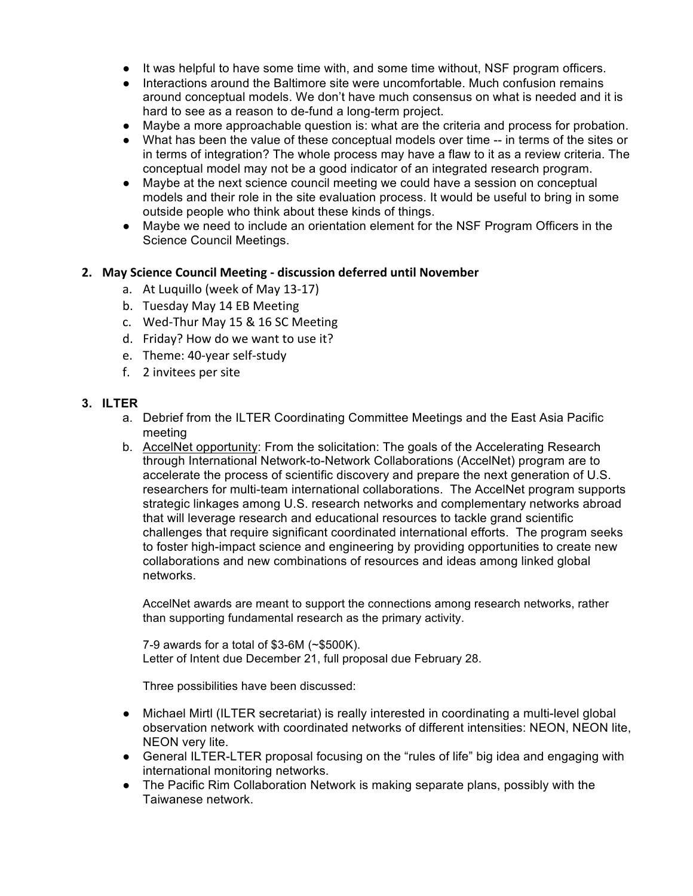- It was helpful to have some time with, and some time without, NSF program officers.
- Interactions around the Baltimore site were uncomfortable. Much confusion remains around conceptual models. We don't have much consensus on what is needed and it is hard to see as a reason to de-fund a long-term project.
- Maybe a more approachable question is: what are the criteria and process for probation.
- What has been the value of these conceptual models over time -- in terms of the sites or in terms of integration? The whole process may have a flaw to it as a review criteria. The conceptual model may not be a good indicator of an integrated research program.
- Maybe at the next science council meeting we could have a session on conceptual models and their role in the site evaluation process. It would be useful to bring in some outside people who think about these kinds of things.
- Maybe we need to include an orientation element for the NSF Program Officers in the Science Council Meetings.

## **2. May Science Council Meeting - discussion deferred until November**

- a. At Luquillo (week of May 13-17)
- b. Tuesday May 14 EB Meeting
- c. Wed-Thur May 15 & 16 SC Meeting
- d. Friday? How do we want to use it?
- e. Theme: 40-year self-study
- f. 2 invitees per site

#### **3. ILTER**

- a. Debrief from the ILTER Coordinating Committee Meetings and the East Asia Pacific meeting
- b. AccelNet opportunity: From the solicitation: The goals of the Accelerating Research through International Network-to-Network Collaborations (AccelNet) program are to accelerate the process of scientific discovery and prepare the next generation of U.S. researchers for multi-team international collaborations. The AccelNet program supports strategic linkages among U.S. research networks and complementary networks abroad that will leverage research and educational resources to tackle grand scientific challenges that require significant coordinated international efforts. The program seeks to foster high-impact science and engineering by providing opportunities to create new collaborations and new combinations of resources and ideas among linked global networks.

AccelNet awards are meant to support the connections among research networks, rather than supporting fundamental research as the primary activity.

7-9 awards for a total of \$3-6M (~\$500K). Letter of Intent due December 21, full proposal due February 28.

Three possibilities have been discussed:

- Michael Mirtl (ILTER secretariat) is really interested in coordinating a multi-level global observation network with coordinated networks of different intensities: NEON, NEON lite, NEON very lite.
- General ILTER-LTER proposal focusing on the "rules of life" big idea and engaging with international monitoring networks.
- The Pacific Rim Collaboration Network is making separate plans, possibly with the Taiwanese network.